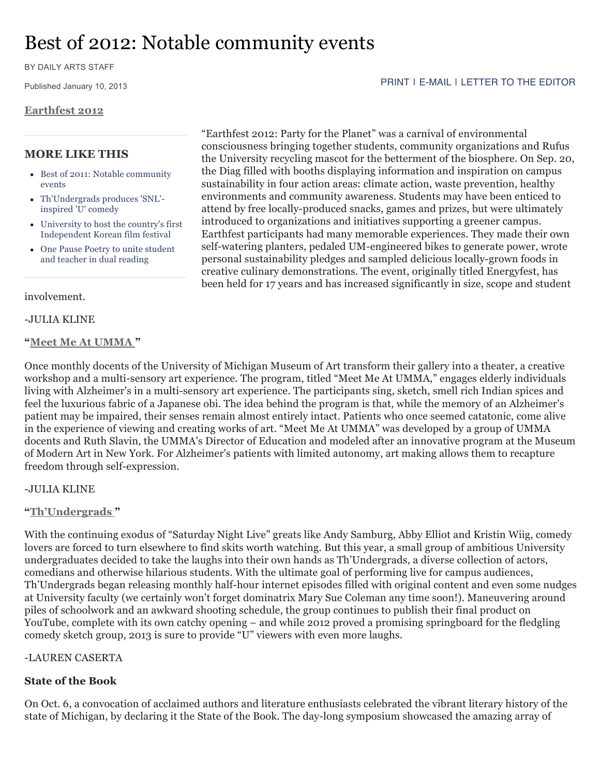# Best of 2012: Notable community events

BY DAILY ARTS STAFF

Published January 10, 2013

#### **Earthfest 2012**

## **MORE LIKE THIS**

- Best of 2011: Notable community events
- Th'Undergrads produces 'SNL' inspired 'U' comedy
- University to host the country's first Independent Korean film festival
- One Pause Poetry to unite student and teacher in dual reading

involvement.

#### -JULIA KLINE

#### **"Meet Me At UMMA "**

"Earthfest 2012: Party for the Planet" was a carnival of environmental consciousness bringing together students, community organizations and Rufus the University recycling mascot for the betterment of the biosphere. On Sep. 20, the Diag filled with booths displaying information and inspiration on campus sustainability in four action areas: climate action, waste prevention, healthy environments and community awareness. Students may have been enticed to attend by free locally-produced snacks, games and prizes, but were ultimately introduced to organizations and initiatives supporting a greener campus. Earthfest participants had many memorable experiences. They made their own self-watering planters, pedaled UM-engineered bikes to generate power, wrote personal sustainability pledges and sampled delicious locally-grown foods in creative culinary demonstrations. The event, originally titled Energyfest, has been held for 17 years and has increased significantly in size, scope and student

Once monthly docents of the University of Michigan Museum of Art transform their gallery into a theater, a creative workshop and a multi-sensory art experience. The program, titled "Meet Me At UMMA," engages elderly individuals living with Alzheimer's in a multi-sensory art experience. The participants sing, sketch, smell rich Indian spices and feel the luxurious fabric of a Japanese obi. The idea behind the program is that, while the memory of an Alzheimer's patient may be impaired, their senses remain almost entirely intact. Patients who once seemed catatonic, come alive in the experience of viewing and creating works of art. "Meet Me At UMMA" was developed by a group of UMMA docents and Ruth Slavin, the UMMA's Director of Education and modeled after an innovative program at the Museum of Modern Art in New York. For Alzheimer's patients with limited autonomy, art making allows them to recapture freedom through self-expression.

#### -JULIA KLINE

#### **"Th'Undergrads "**

With the continuing exodus of "Saturday Night Live" greats like Andy Samburg, Abby Elliot and Kristin Wiig, comedy lovers are forced to turn elsewhere to find skits worth watching. But this year, a small group of ambitious University undergraduates decided to take the laughs into their own hands as Th'Undergrads, a diverse collection of actors, comedians and otherwise hilarious students. With the ultimate goal of performing live for campus audiences, Th'Undergrads began releasing monthly half-hour internet episodes filled with original content and even some nudges at University faculty (we certainly won't forget dominatrix Mary Sue Coleman any time soon!). Maneuvering around piles of schoolwork and an awkward shooting schedule, the group continues to publish their final product on YouTube, complete with its own catchy opening – and while 2012 proved a promising springboard for the fledgling comedy sketch group, 2013 is sure to provide "U" viewers with even more laughs.

## -LAUREN CASERTA

## **State of the Book**

On Oct. 6, a convocation of acclaimed authors and literature enthusiasts celebrated the vibrant literary history of the state of Michigan, by declaring it the State of the Book. The day-long symposium showcased the amazing array of

#### PRINT I E-MAIL I LETTER TO THE EDITOR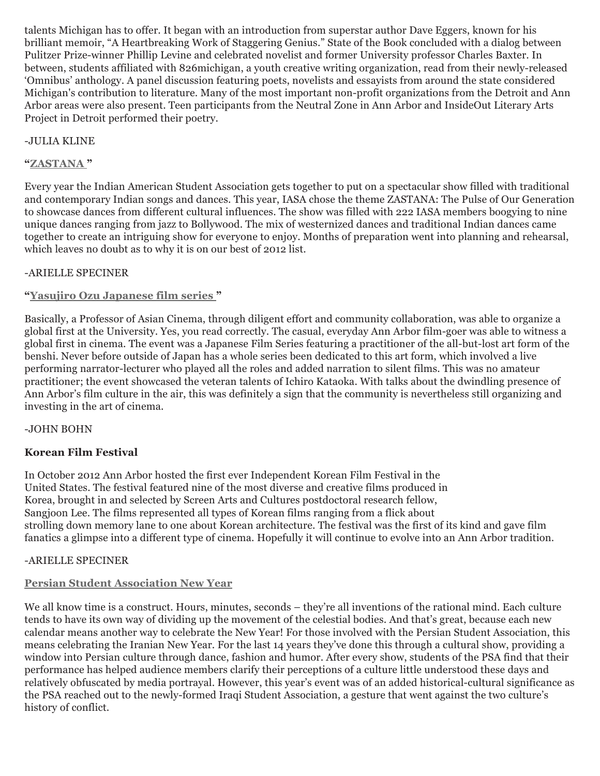talents Michigan has to offer. It began with an introduction from superstar author Dave Eggers, known for his brilliant memoir, "A Heartbreaking Work of Staggering Genius." State of the Book concluded with a dialog between Pulitzer Prize-winner Phillip Levine and celebrated novelist and former University professor Charles Baxter. In between, students affiliated with 826michigan, a youth creative writing organization, read from their newly-released 'Omnibus' anthology. A panel discussion featuring poets, novelists and essayists from around the state considered Michigan's contribution to literature. Many of the most important non-profit organizations from the Detroit and Ann Arbor areas were also present. Teen participants from the Neutral Zone in Ann Arbor and InsideOut Literary Arts Project in Detroit performed their poetry.

# -JULIA KLINE

# **"ZASTANA "**

Every year the Indian American Student Association gets together to put on a spectacular show filled with traditional and contemporary Indian songs and dances. This year, IASA chose the theme ZASTANA: The Pulse of Our Generation to showcase dances from different cultural influences. The show was filled with 222 IASA members boogying to nine unique dances ranging from jazz to Bollywood. The mix of westernized dances and traditional Indian dances came together to create an intriguing show for everyone to enjoy. Months of preparation went into planning and rehearsal, which leaves no doubt as to why it is on our best of 2012 list.

# -ARIELLE SPECINER

# **"Yasujiro Ozu Japanese film series "**

Basically, a Professor of Asian Cinema, through diligent effort and community collaboration, was able to organize a global first at the University. Yes, you read correctly. The casual, everyday Ann Arbor film-goer was able to witness a global first in cinema. The event was a Japanese Film Series featuring a practitioner of the all-but-lost art form of the benshi. Never before outside of Japan has a whole series been dedicated to this art form, which involved a live performing narrator-lecturer who played all the roles and added narration to silent films. This was no amateur practitioner; the event showcased the veteran talents of Ichiro Kataoka. With talks about the dwindling presence of Ann Arbor's film culture in the air, this was definitely a sign that the community is nevertheless still organizing and investing in the art of cinema.

# -JOHN BOHN

# **Korean Film Festival**

In October 2012 Ann Arbor hosted the first ever Independent Korean Film Festival in the United States. The festival featured nine of the most diverse and creative films produced in Korea, brought in and selected by Screen Arts and Cultures postdoctoral research fellow, Sangjoon Lee. The films represented all types of Korean films ranging from a flick about strolling down memory lane to one about Korean architecture. The festival was the first of its kind and gave film fanatics a glimpse into a different type of cinema. Hopefully it will continue to evolve into an Ann Arbor tradition.

# -ARIELLE SPECINER

# **Persian Student Association New Year**

We all know time is a construct. Hours, minutes, seconds – they're all inventions of the rational mind. Each culture tends to have its own way of dividing up the movement of the celestial bodies. And that's great, because each new calendar means another way to celebrate the New Year! For those involved with the Persian Student Association, this means celebrating the Iranian New Year. For the last 14 years they've done this through a cultural show, providing a window into Persian culture through dance, fashion and humor. After every show, students of the PSA find that their performance has helped audience members clarify their perceptions of a culture little understood these days and relatively obfuscated by media portrayal. However, this year's event was of an added historical-cultural significance as the PSA reached out to the newly-formed Iraqi Student Association, a gesture that went against the two culture's history of conflict.